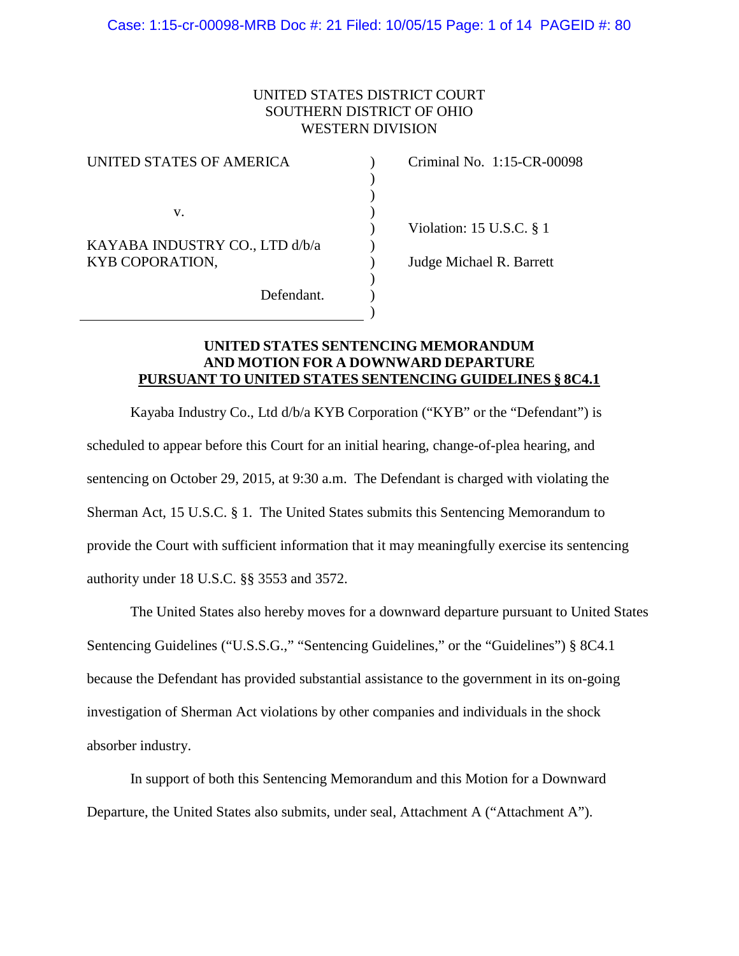## UNITED STATES DISTRICT COURT SOUTHERN DISTRICT OF OHIO WESTERN DIVISION

 $\mathcal{L}$ )

| UNITED STATES OF AMERICA                          |            |  |
|---------------------------------------------------|------------|--|
|                                                   |            |  |
|                                                   |            |  |
| V.                                                |            |  |
| KAYABA INDUSTRY CO., LTD d/b/a<br>KYB COPORATION, |            |  |
|                                                   | Defendant. |  |

 $U(115-CR-0.0098)$ 

) Violation: 15 U.S.C. § 1

) Judge Michael R. Barrett

# **UNITED STATES SENTENCING MEMORANDUM AND MOTION FOR A DOWNWARD DEPARTURE PURSUANT TO UNITED STATES SENTENCING GUIDELINES § 8C4.1**

)

)

Kayaba Industry Co., Ltd d/b/a KYB Corporation ("KYB" or the "Defendant") is scheduled to appear before this Court for an initial hearing, change-of-plea hearing, and sentencing on October 29, 2015, at 9:30 a.m. The Defendant is charged with violating the Sherman Act, 15 U.S.C. § 1. The United States submits this Sentencing Memorandum to provide the Court with sufficient information that it may meaningfully exercise its sentencing authority under 18 U.S.C. §§ 3553 and 3572.

The United States also hereby moves for a downward departure pursuant to United States Sentencing Guidelines ("U.S.S.G.," "Sentencing Guidelines," or the "Guidelines") § 8C4.1 because the Defendant has provided substantial assistance to the government in its on-going investigation of Sherman Act violations by other companies and individuals in the shock absorber industry.

In support of both this Sentencing Memorandum and this Motion for a Downward Departure, the United States also submits, under seal, Attachment A ("Attachment A").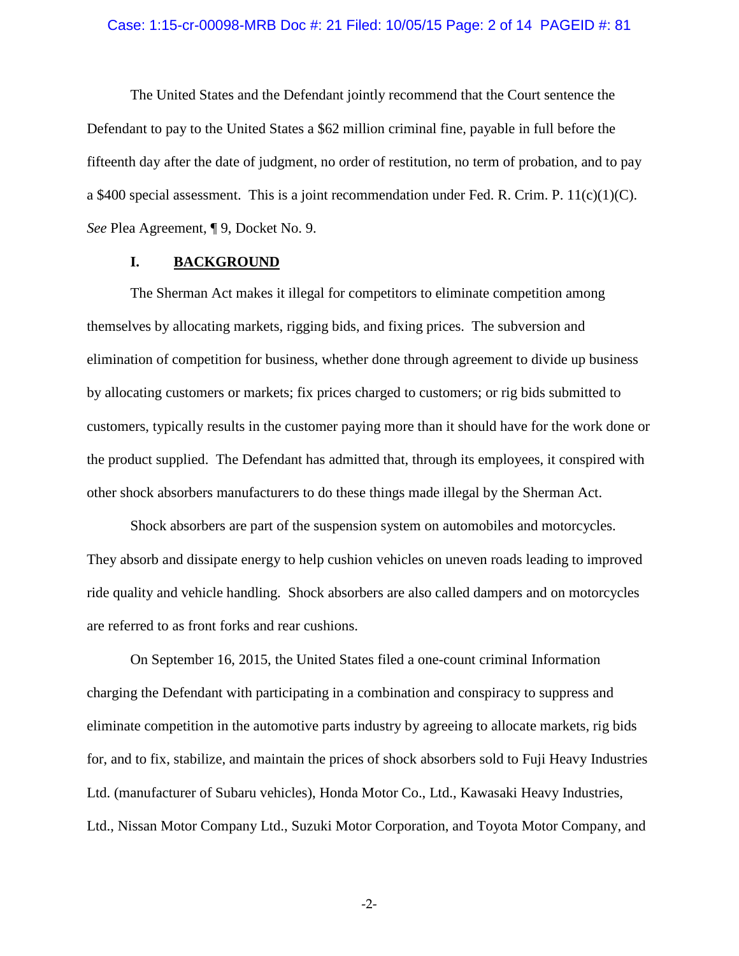#### Case: 1:15-cr-00098-MRB Doc #: 21 Filed: 10/05/15 Page: 2 of 14 PAGEID #: 81

The United States and the Defendant jointly recommend that the Court sentence the Defendant to pay to the United States a \$62 million criminal fine, payable in full before the fifteenth day after the date of judgment, no order of restitution, no term of probation, and to pay a \$400 special assessment. This is a joint recommendation under Fed. R. Crim. P.  $11(c)(1)(C)$ . *See* Plea Agreement, ¶ 9, Docket No. 9.

# **I. BACKGROUND**

The Sherman Act makes it illegal for competitors to eliminate competition among themselves by allocating markets, rigging bids, and fixing prices. The subversion and elimination of competition for business, whether done through agreement to divide up business by allocating customers or markets; fix prices charged to customers; or rig bids submitted to customers, typically results in the customer paying more than it should have for the work done or the product supplied. The Defendant has admitted that, through its employees, it conspired with other shock absorbers manufacturers to do these things made illegal by the Sherman Act.

Shock absorbers are part of the suspension system on automobiles and motorcycles. They absorb and dissipate energy to help cushion vehicles on uneven roads leading to improved ride quality and vehicle handling. Shock absorbers are also called dampers and on motorcycles are referred to as front forks and rear cushions.

On September 16, 2015, the United States filed a one-count criminal Information charging the Defendant with participating in a combination and conspiracy to suppress and eliminate competition in the automotive parts industry by agreeing to allocate markets, rig bids for, and to fix, stabilize, and maintain the prices of shock absorbers sold to Fuji Heavy Industries Ltd. (manufacturer of Subaru vehicles), Honda Motor Co., Ltd., Kawasaki Heavy Industries, Ltd., Nissan Motor Company Ltd., Suzuki Motor Corporation, and Toyota Motor Company, and

-2-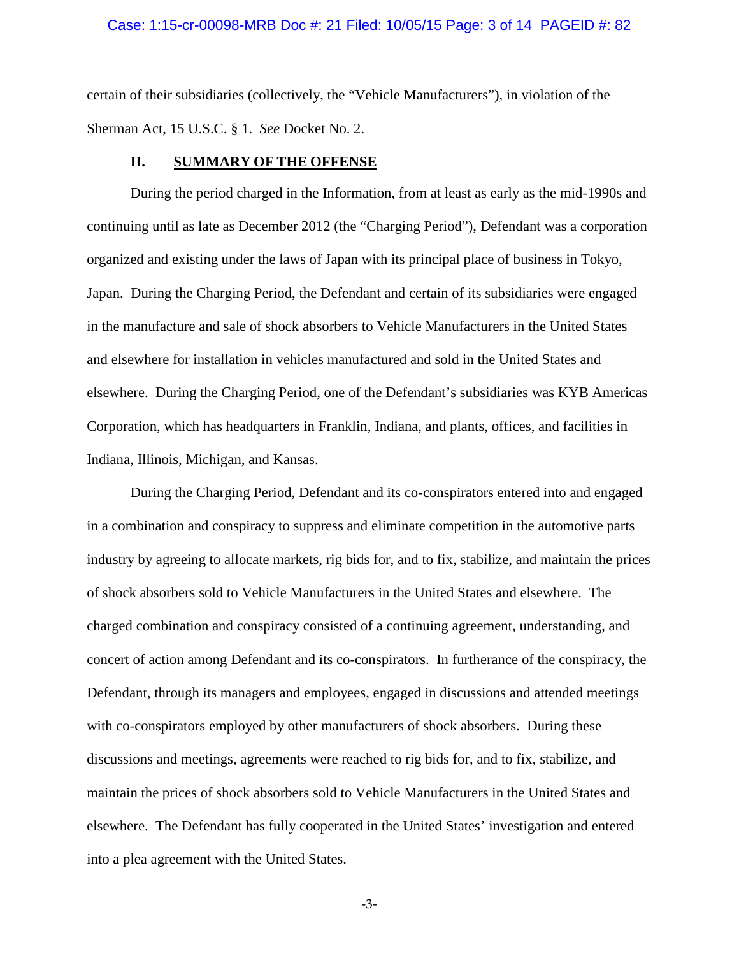#### Case: 1:15-cr-00098-MRB Doc #: 21 Filed: 10/05/15 Page: 3 of 14 PAGEID #: 82

certain of their subsidiaries (collectively, the "Vehicle Manufacturers"), in violation of the Sherman Act, 15 U.S.C. § 1. *See* Docket No. 2.

# **II. SUMMARY OF THE OFFENSE**

During the period charged in the Information, from at least as early as the mid-1990s and continuing until as late as December 2012 (the "Charging Period"), Defendant was a corporation organized and existing under the laws of Japan with its principal place of business in Tokyo, Japan. During the Charging Period, the Defendant and certain of its subsidiaries were engaged in the manufacture and sale of shock absorbers to Vehicle Manufacturers in the United States and elsewhere for installation in vehicles manufactured and sold in the United States and elsewhere. During the Charging Period, one of the Defendant's subsidiaries was KYB Americas Corporation, which has headquarters in Franklin, Indiana, and plants, offices, and facilities in Indiana, Illinois, Michigan, and Kansas.

During the Charging Period, Defendant and its co-conspirators entered into and engaged in a combination and conspiracy to suppress and eliminate competition in the automotive parts industry by agreeing to allocate markets, rig bids for, and to fix, stabilize, and maintain the prices of shock absorbers sold to Vehicle Manufacturers in the United States and elsewhere. The charged combination and conspiracy consisted of a continuing agreement, understanding, and concert of action among Defendant and its co-conspirators. In furtherance of the conspiracy, the Defendant, through its managers and employees, engaged in discussions and attended meetings with co-conspirators employed by other manufacturers of shock absorbers. During these discussions and meetings, agreements were reached to rig bids for, and to fix, stabilize, and maintain the prices of shock absorbers sold to Vehicle Manufacturers in the United States and elsewhere. The Defendant has fully cooperated in the United States' investigation and entered into a plea agreement with the United States.

-3-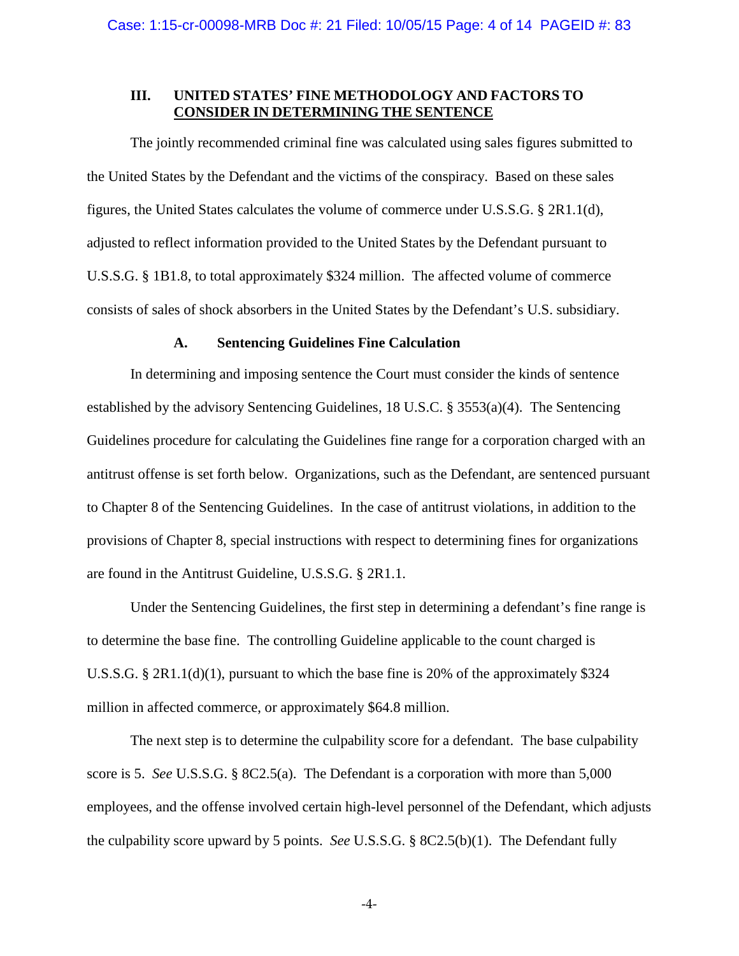## **III. UNITED STATES' FINE METHODOLOGY AND FACTORS TO CONSIDER IN DETERMINING THE SENTENCE**

The jointly recommended criminal fine was calculated using sales figures submitted to the United States by the Defendant and the victims of the conspiracy. Based on these sales figures, the United States calculates the volume of commerce under U.S.S.G. § 2R1.1(d), adjusted to reflect information provided to the United States by the Defendant pursuant to U.S.S.G. § 1B1.8, to total approximately \$324 million. The affected volume of commerce consists of sales of shock absorbers in the United States by the Defendant's U.S. subsidiary.

#### **A. Sentencing Guidelines Fine Calculation**

In determining and imposing sentence the Court must consider the kinds of sentence established by the advisory Sentencing Guidelines, 18 U.S.C. § 3553(a)(4). The Sentencing Guidelines procedure for calculating the Guidelines fine range for a corporation charged with an antitrust offense is set forth below. Organizations, such as the Defendant, are sentenced pursuant to Chapter 8 of the Sentencing Guidelines. In the case of antitrust violations, in addition to the provisions of Chapter 8, special instructions with respect to determining fines for organizations are found in the Antitrust Guideline, U.S.S.G. § 2R1.1.

Under the Sentencing Guidelines, the first step in determining a defendant's fine range is to determine the base fine. The controlling Guideline applicable to the count charged is U.S.S.G. §  $2R1.1(d)(1)$ , pursuant to which the base fine is 20% of the approximately \$324 million in affected commerce, or approximately \$64.8 million.

The next step is to determine the culpability score for a defendant. The base culpability score is 5. *See* U.S.S.G. § 8C2.5(a). The Defendant is a corporation with more than 5,000 employees, and the offense involved certain high-level personnel of the Defendant, which adjusts the culpability score upward by 5 points. *See* U.S.S.G. § 8C2.5(b)(1). The Defendant fully

-4-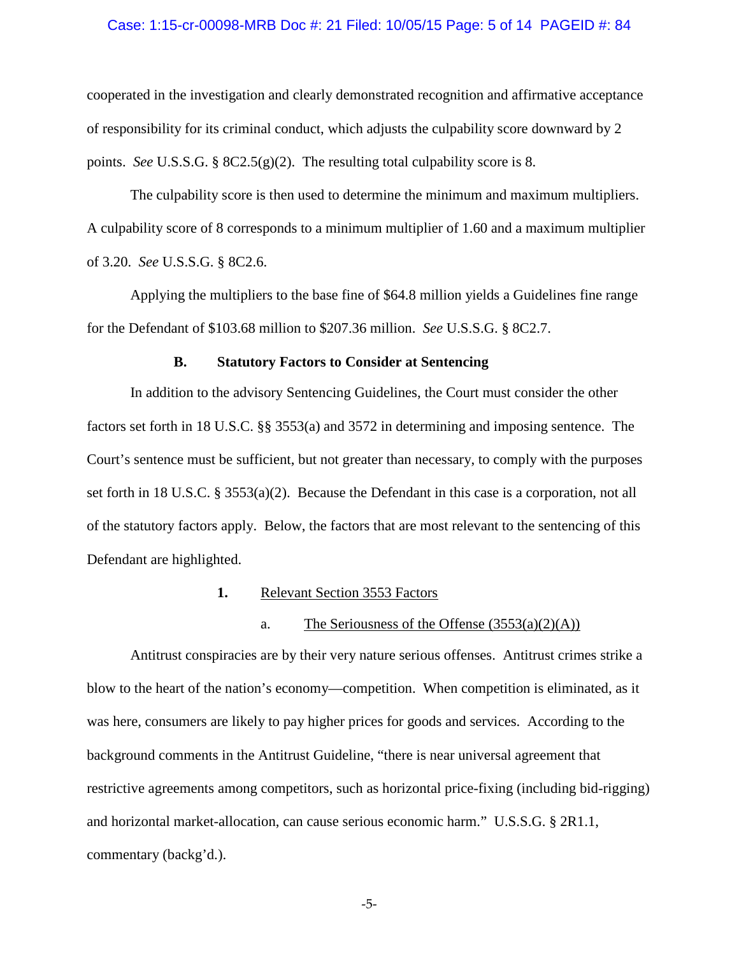#### Case: 1:15-cr-00098-MRB Doc #: 21 Filed: 10/05/15 Page: 5 of 14 PAGEID #: 84

cooperated in the investigation and clearly demonstrated recognition and affirmative acceptance of responsibility for its criminal conduct, which adjusts the culpability score downward by 2 points. *See* U.S.S.G. § 8C2.5(g)(2). The resulting total culpability score is 8.

The culpability score is then used to determine the minimum and maximum multipliers. A culpability score of 8 corresponds to a minimum multiplier of 1.60 and a maximum multiplier of 3.20. *See* U.S.S.G. § 8C2.6.

Applying the multipliers to the base fine of \$64.8 million yields a Guidelines fine range for the Defendant of \$103.68 million to \$207.36 million. *See* U.S.S.G. § 8C2.7.

### **B. Statutory Factors to Consider at Sentencing**

In addition to the advisory Sentencing Guidelines, the Court must consider the other factors set forth in 18 U.S.C. §§ 3553(a) and 3572 in determining and imposing sentence. The Court's sentence must be sufficient, but not greater than necessary, to comply with the purposes set forth in 18 U.S.C. § 3553(a)(2). Because the Defendant in this case is a corporation, not all of the statutory factors apply. Below, the factors that are most relevant to the sentencing of this Defendant are highlighted.

#### **1.** Relevant Section 3553 Factors

## a. The Seriousness of the Offense  $(3553(a)(2)(A))$

Antitrust conspiracies are by their very nature serious offenses. Antitrust crimes strike a blow to the heart of the nation's economy—competition. When competition is eliminated, as it was here, consumers are likely to pay higher prices for goods and services. According to the background comments in the Antitrust Guideline, "there is near universal agreement that restrictive agreements among competitors, such as horizontal price-fixing (including bid-rigging) and horizontal market-allocation, can cause serious economic harm." U.S.S.G. § 2R1.1, commentary (backg'd.).

-5-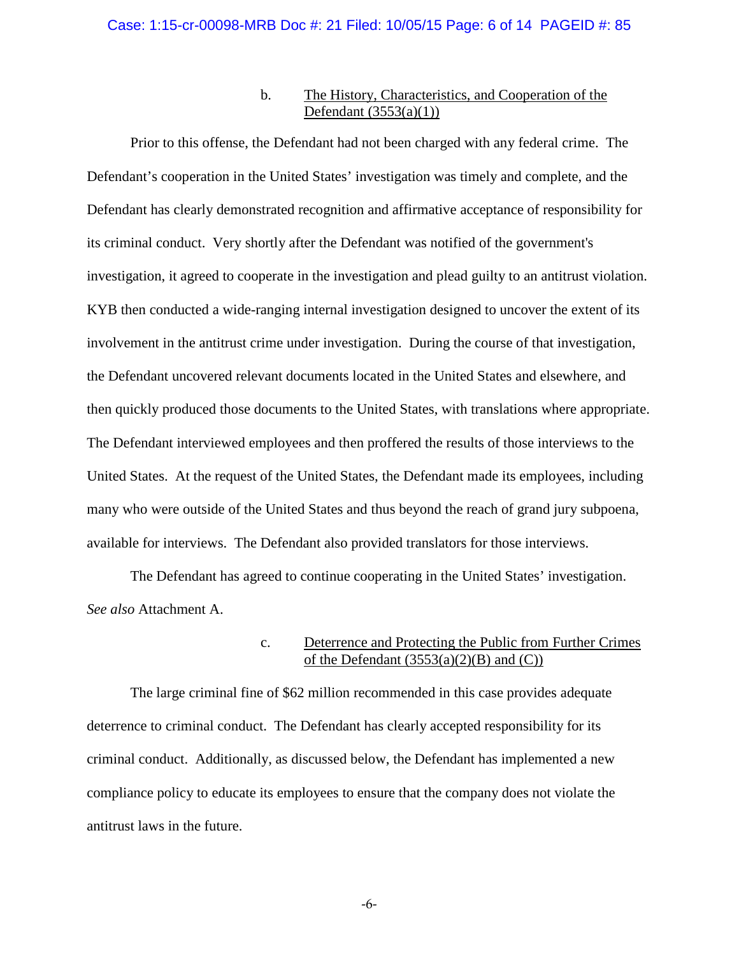# b. The History, Characteristics, and Cooperation of the Defendant  $(3553(a)(1))$

Prior to this offense, the Defendant had not been charged with any federal crime. The Defendant's cooperation in the United States' investigation was timely and complete, and the Defendant has clearly demonstrated recognition and affirmative acceptance of responsibility for its criminal conduct. Very shortly after the Defendant was notified of the government's investigation, it agreed to cooperate in the investigation and plead guilty to an antitrust violation. KYB then conducted a wide-ranging internal investigation designed to uncover the extent of its involvement in the antitrust crime under investigation. During the course of that investigation, the Defendant uncovered relevant documents located in the United States and elsewhere, and then quickly produced those documents to the United States, with translations where appropriate. The Defendant interviewed employees and then proffered the results of those interviews to the United States. At the request of the United States, the Defendant made its employees, including many who were outside of the United States and thus beyond the reach of grand jury subpoena, available for interviews. The Defendant also provided translators for those interviews.

The Defendant has agreed to continue cooperating in the United States' investigation. *See also* Attachment A.

## c. Deterrence and Protecting the Public from Further Crimes of the Defendant  $(3553(a)(2)(B)$  and  $(C)$ )

The large criminal fine of \$62 million recommended in this case provides adequate deterrence to criminal conduct. The Defendant has clearly accepted responsibility for its criminal conduct. Additionally, as discussed below, the Defendant has implemented a new compliance policy to educate its employees to ensure that the company does not violate the antitrust laws in the future.

-6-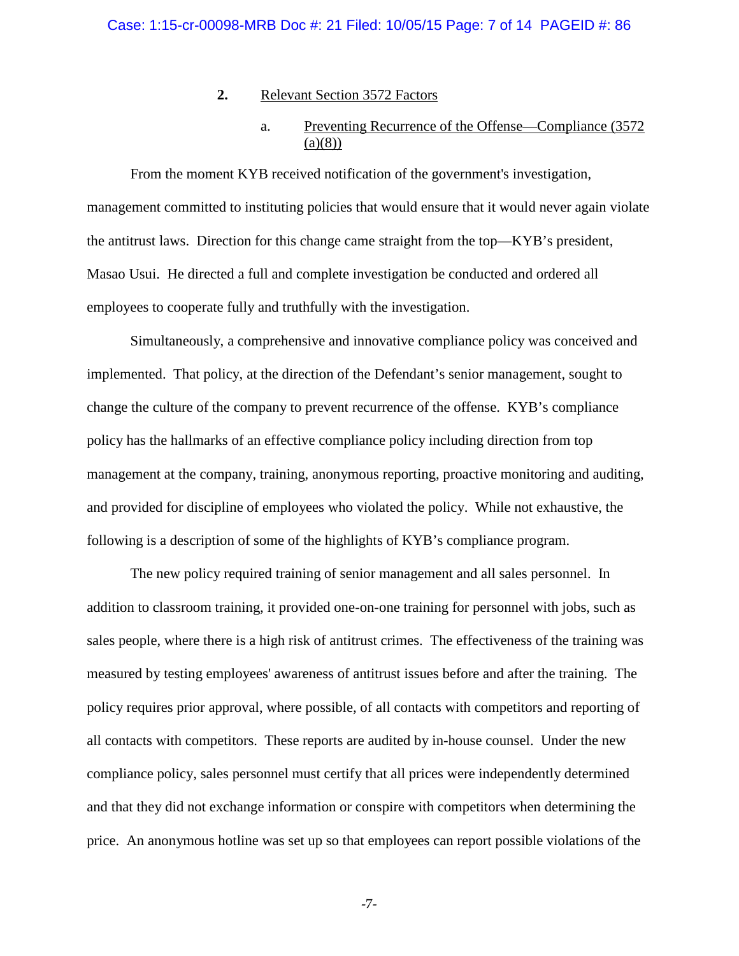### **2.** Relevant Section 3572 Factors

# a. Preventing Recurrence of the Offense—Compliance (3572  $(a)(8)$

From the moment KYB received notification of the government's investigation, management committed to instituting policies that would ensure that it would never again violate the antitrust laws. Direction for this change came straight from the top—KYB's president, Masao Usui. He directed a full and complete investigation be conducted and ordered all employees to cooperate fully and truthfully with the investigation.

Simultaneously, a comprehensive and innovative compliance policy was conceived and implemented. That policy, at the direction of the Defendant's senior management, sought to change the culture of the company to prevent recurrence of the offense. KYB's compliance policy has the hallmarks of an effective compliance policy including direction from top management at the company, training, anonymous reporting, proactive monitoring and auditing, and provided for discipline of employees who violated the policy. While not exhaustive, the following is a description of some of the highlights of KYB's compliance program.

The new policy required training of senior management and all sales personnel. In addition to classroom training, it provided one-on-one training for personnel with jobs, such as sales people, where there is a high risk of antitrust crimes. The effectiveness of the training was measured by testing employees' awareness of antitrust issues before and after the training. The policy requires prior approval, where possible, of all contacts with competitors and reporting of all contacts with competitors. These reports are audited by in-house counsel. Under the new compliance policy, sales personnel must certify that all prices were independently determined and that they did not exchange information or conspire with competitors when determining the price. An anonymous hotline was set up so that employees can report possible violations of the

-7-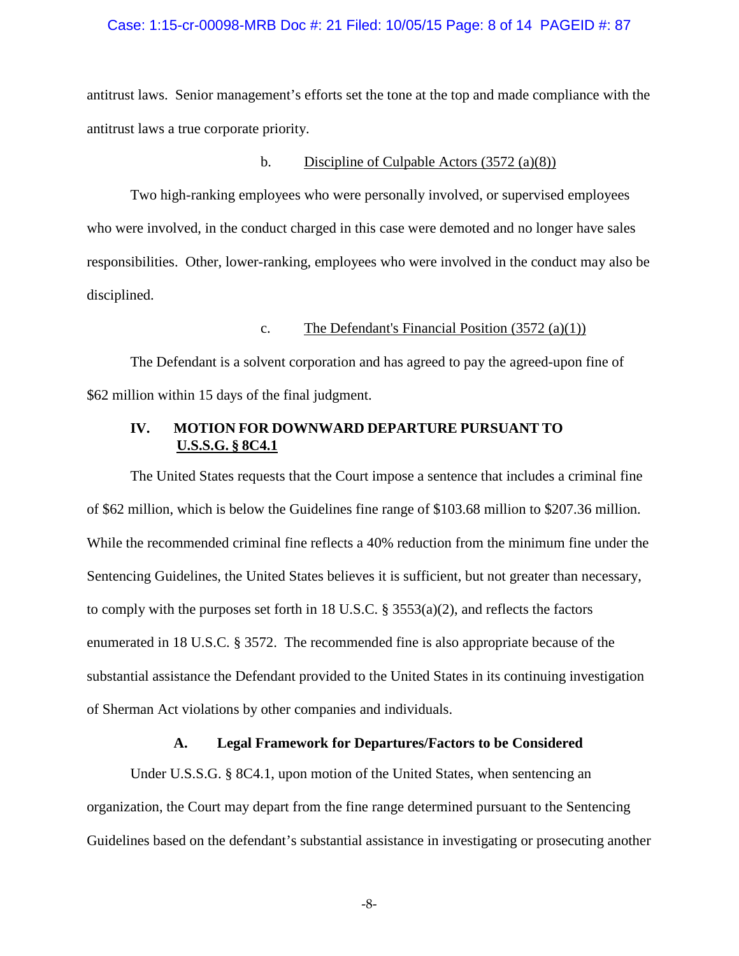#### Case: 1:15-cr-00098-MRB Doc #: 21 Filed: 10/05/15 Page: 8 of 14 PAGEID #: 87

antitrust laws. Senior management's efforts set the tone at the top and made compliance with the antitrust laws a true corporate priority.

#### b. Discipline of Culpable Actors  $(3572 \text{ (a)}(8))$

Two high-ranking employees who were personally involved, or supervised employees who were involved, in the conduct charged in this case were demoted and no longer have sales responsibilities. Other, lower-ranking, employees who were involved in the conduct may also be disciplined.

### c. The Defendant's Financial Position  $(3572 \text{ (a)}(1))$

The Defendant is a solvent corporation and has agreed to pay the agreed-upon fine of \$62 million within 15 days of the final judgment.

# **IV. MOTION FOR DOWNWARD DEPARTURE PURSUANT TO U.S.S.G. § 8C4.1**

The United States requests that the Court impose a sentence that includes a criminal fine of \$62 million, which is below the Guidelines fine range of \$103.68 million to \$207.36 million. While the recommended criminal fine reflects a 40% reduction from the minimum fine under the Sentencing Guidelines, the United States believes it is sufficient, but not greater than necessary, to comply with the purposes set forth in 18 U.S.C.  $\S$  3553(a)(2), and reflects the factors enumerated in 18 U.S.C. § 3572. The recommended fine is also appropriate because of the substantial assistance the Defendant provided to the United States in its continuing investigation of Sherman Act violations by other companies and individuals.

#### **A. Legal Framework for Departures/Factors to be Considered**

Under U.S.S.G. § 8C4.1, upon motion of the United States, when sentencing an organization, the Court may depart from the fine range determined pursuant to the Sentencing Guidelines based on the defendant's substantial assistance in investigating or prosecuting another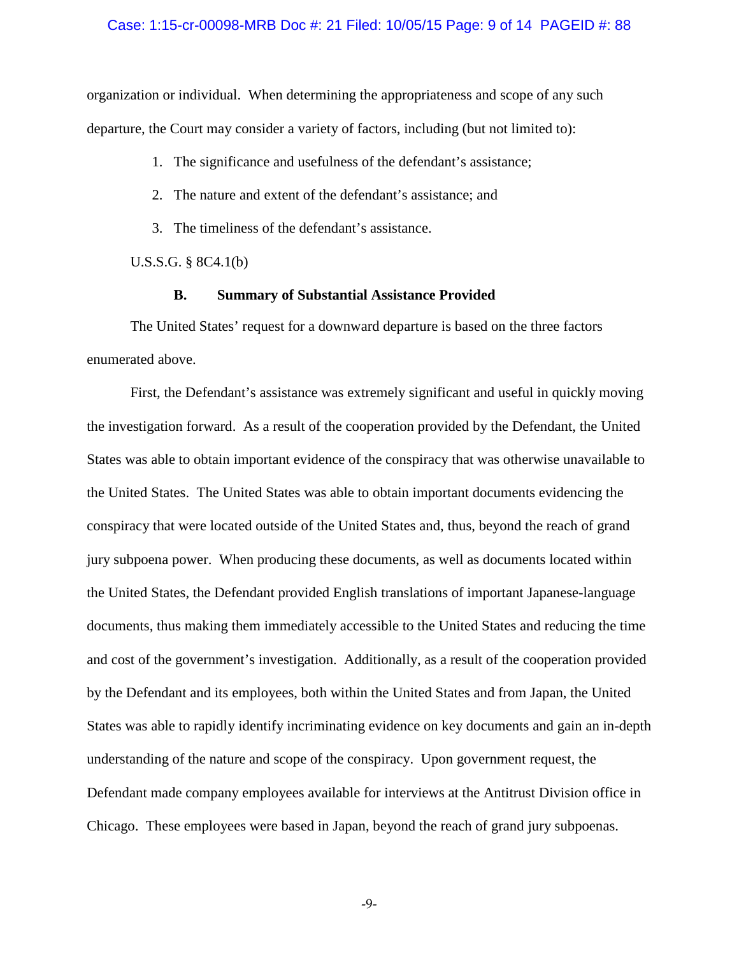#### Case: 1:15-cr-00098-MRB Doc #: 21 Filed: 10/05/15 Page: 9 of 14 PAGEID #: 88

organization or individual. When determining the appropriateness and scope of any such departure, the Court may consider a variety of factors, including (but not limited to):

- 1. The significance and usefulness of the defendant's assistance;
- 2. The nature and extent of the defendant's assistance; and
- 3. The timeliness of the defendant's assistance.

U.S.S.G. § 8C4.1(b)

#### **B. Summary of Substantial Assistance Provided**

The United States' request for a downward departure is based on the three factors enumerated above.

First, the Defendant's assistance was extremely significant and useful in quickly moving the investigation forward. As a result of the cooperation provided by the Defendant, the United States was able to obtain important evidence of the conspiracy that was otherwise unavailable to the United States. The United States was able to obtain important documents evidencing the conspiracy that were located outside of the United States and, thus, beyond the reach of grand jury subpoena power. When producing these documents, as well as documents located within the United States, the Defendant provided English translations of important Japanese-language documents, thus making them immediately accessible to the United States and reducing the time and cost of the government's investigation. Additionally, as a result of the cooperation provided by the Defendant and its employees, both within the United States and from Japan, the United States was able to rapidly identify incriminating evidence on key documents and gain an in-depth understanding of the nature and scope of the conspiracy. Upon government request, the Defendant made company employees available for interviews at the Antitrust Division office in Chicago. These employees were based in Japan, beyond the reach of grand jury subpoenas.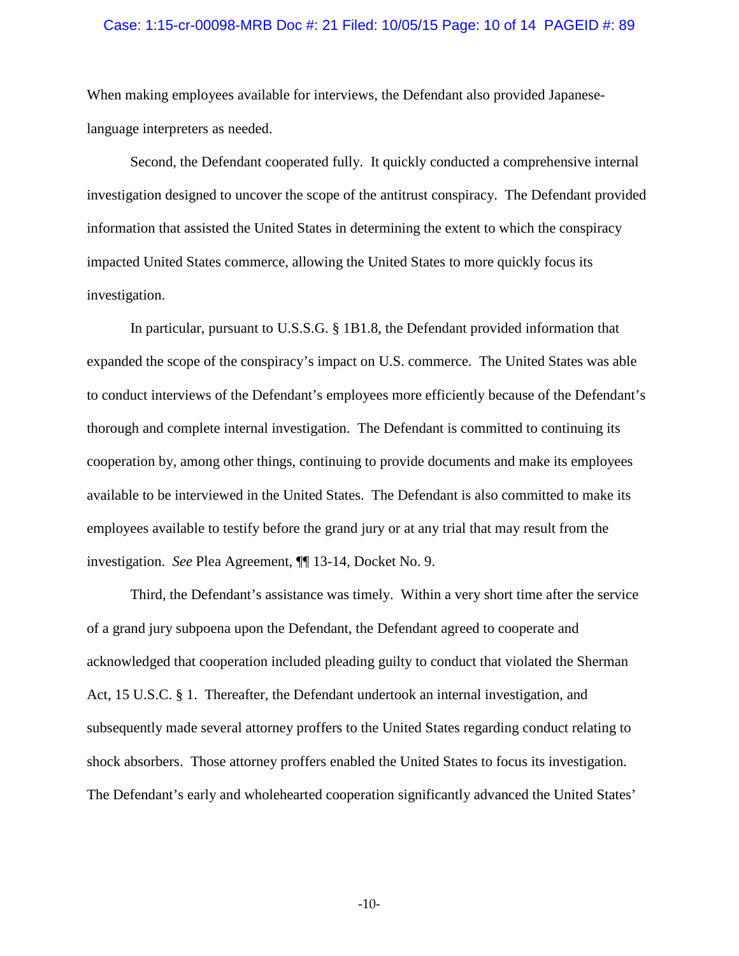#### Case: 1:15-cr-00098-MRB Doc #: 21 Filed: 10/05/15 Page: 10 of 14 PAGEID #: 89

When making employees available for interviews, the Defendant also provided Japaneselanguage interpreters as needed.

Second, the Defendant cooperated fully. It quickly conducted a comprehensive internal investigation designed to uncover the scope of the antitrust conspiracy. The Defendant provided information that assisted the United States in determining the extent to which the conspiracy impacted United States commerce, allowing the United States to more quickly focus its investigation.

In particular, pursuant to U.S.S.G. § 1B1.8, the Defendant provided information that expanded the scope of the conspiracy's impact on U.S. commerce. The United States was able to conduct interviews of the Defendant's employees more efficiently because of the Defendant's thorough and complete internal investigation. The Defendant is committed to continuing its cooperation by, among other things, continuing to provide documents and make its employees available to be interviewed in the United States. The Defendant is also committed to make its employees available to testify before the grand jury or at any trial that may result from the investigation. *See* Plea Agreement, ¶¶ 13-14, Docket No. 9.

Third, the Defendant's assistance was timely. Within a very short time after the service of a grand jury subpoena upon the Defendant, the Defendant agreed to cooperate and acknowledged that cooperation included pleading guilty to conduct that violated the Sherman Act, 15 U.S.C. § 1. Thereafter, the Defendant undertook an internal investigation, and subsequently made several attorney proffers to the United States regarding conduct relating to shock absorbers. Those attorney proffers enabled the United States to focus its investigation. The Defendant's early and wholehearted cooperation significantly advanced the United States'

-10-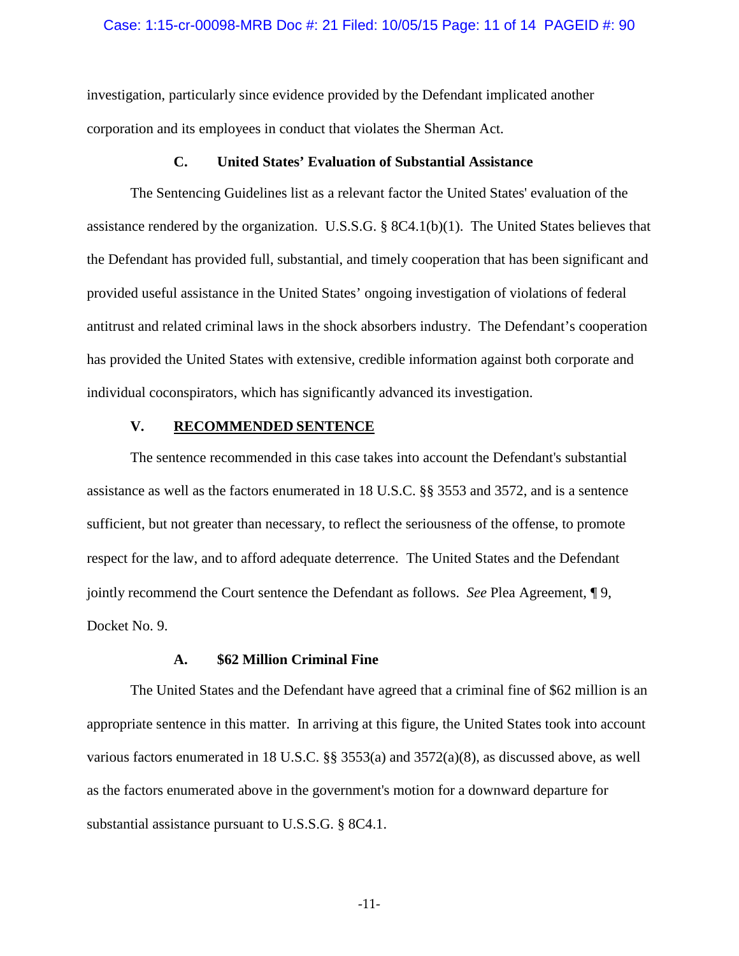#### Case: 1:15-cr-00098-MRB Doc #: 21 Filed: 10/05/15 Page: 11 of 14 PAGEID #: 90

investigation, particularly since evidence provided by the Defendant implicated another corporation and its employees in conduct that violates the Sherman Act.

#### **C. United States' Evaluation of Substantial Assistance**

The Sentencing Guidelines list as a relevant factor the United States' evaluation of the assistance rendered by the organization. U.S.S.G. § 8C4.1(b)(1). The United States believes that the Defendant has provided full, substantial, and timely cooperation that has been significant and provided useful assistance in the United States' ongoing investigation of violations of federal antitrust and related criminal laws in the shock absorbers industry. The Defendant's cooperation has provided the United States with extensive, credible information against both corporate and individual coconspirators, which has significantly advanced its investigation.

## **V. RECOMMENDED SENTENCE**

The sentence recommended in this case takes into account the Defendant's substantial assistance as well as the factors enumerated in 18 U.S.C. §§ 3553 and 3572, and is a sentence sufficient, but not greater than necessary, to reflect the seriousness of the offense, to promote respect for the law, and to afford adequate deterrence. Τhe United States and the Defendant jointly recommend the Court sentence the Defendant as follows. *See* Plea Agreement, ¶ 9, Docket No. 9.

#### **A. \$62 Million Criminal Fine**

The United States and the Defendant have agreed that a criminal fine of \$62 million is an appropriate sentence in this matter. In arriving at this figure, the United States took into account various factors enumerated in 18 U.S.C. §§ 3553(a) and 3572(a)(8), as discussed above, as well as the factors enumerated above in the government's motion for a downward departure for substantial assistance pursuant to U.S.S.G. § 8C4.1.

-11-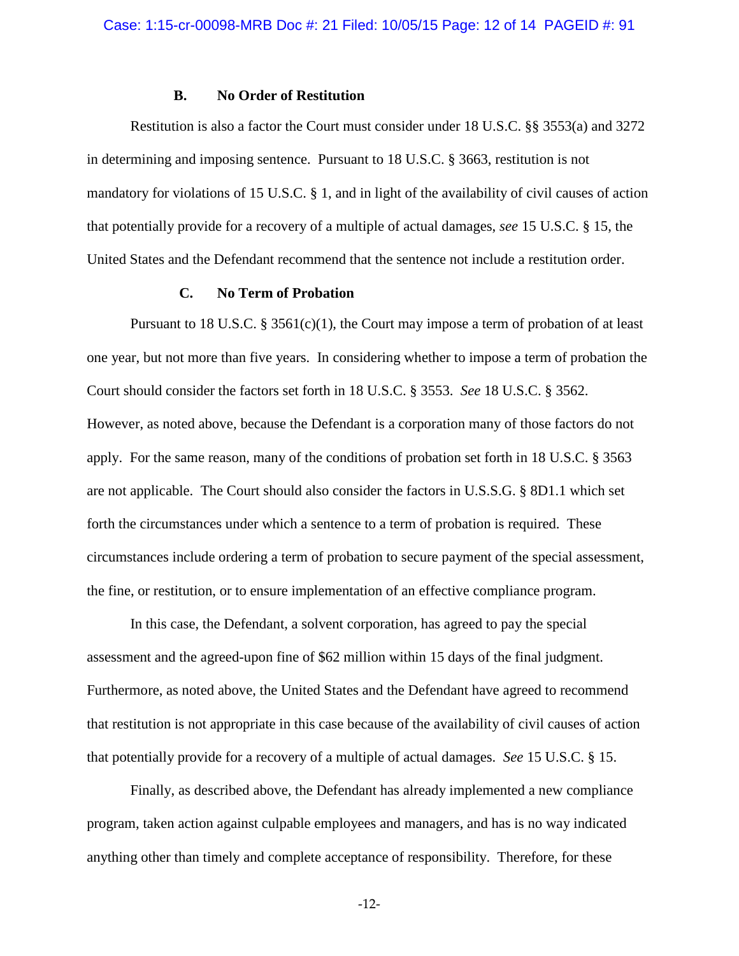### **B. No Order of Restitution**

Restitution is also a factor the Court must consider under 18 U.S.C. §§ 3553(a) and 3272 in determining and imposing sentence. Pursuant to 18 U.S.C. § 3663, restitution is not mandatory for violations of 15 U.S.C. § 1, and in light of the availability of civil causes of action that potentially provide for a recovery of a multiple of actual damages, *see* 15 U.S.C. § 15, the United States and the Defendant recommend that the sentence not include a restitution order.

## **C. No Term of Probation**

Pursuant to 18 U.S.C. § 3561(c)(1), the Court may impose a term of probation of at least one year, but not more than five years. In considering whether to impose a term of probation the Court should consider the factors set forth in 18 U.S.C. § 3553. *See* 18 U.S.C. § 3562. However, as noted above, because the Defendant is a corporation many of those factors do not apply. For the same reason, many of the conditions of probation set forth in 18 U.S.C. § 3563 are not applicable. The Court should also consider the factors in U.S.S.G. § 8D1.1 which set forth the circumstances under which a sentence to a term of probation is required. These circumstances include ordering a term of probation to secure payment of the special assessment, the fine, or restitution, or to ensure implementation of an effective compliance program.

In this case, the Defendant, a solvent corporation, has agreed to pay the special assessment and the agreed-upon fine of \$62 million within 15 days of the final judgment. Furthermore, as noted above, the United States and the Defendant have agreed to recommend that restitution is not appropriate in this case because of the availability of civil causes of action that potentially provide for a recovery of a multiple of actual damages. *See* 15 U.S.C. § 15.

Finally, as described above, the Defendant has already implemented a new compliance program, taken action against culpable employees and managers, and has is no way indicated anything other than timely and complete acceptance of responsibility. Therefore, for these

-12-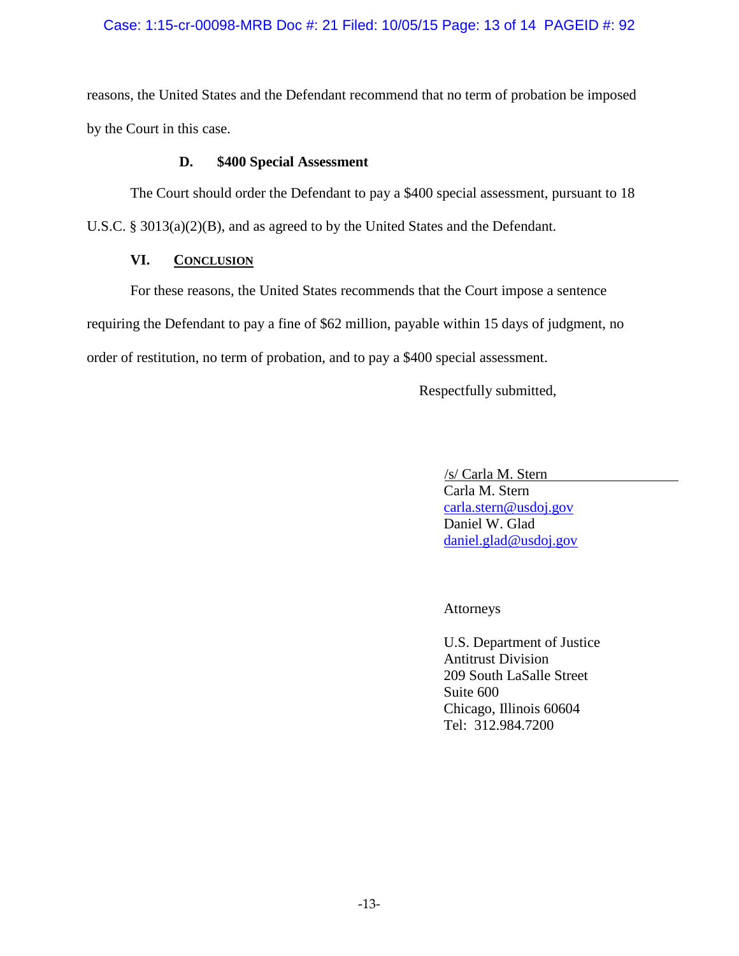## Case: 1:15-cr-00098-MRB Doc #: 21 Filed: 10/05/15 Page: 13 of 14 PAGEID #: 92

reasons, the United States and the Defendant recommend that no term of probation be imposed by the Court in this case.

## **D. \$400 Special Assessment**

The Court should order the Defendant to pay a \$400 special assessment, pursuant to 18 U.S.C. § 3013(a)(2)(B), and as agreed to by the United States and the Defendant.

# **VI. CONCLUSION**

For these reasons, the United States recommends that the Court impose a sentence requiring the Defendant to pay a fine of \$62 million, payable within 15 days of judgment, no order of restitution, no term of probation, and to pay a \$400 special assessment.

Respectfully submitted,

 /s/ Carla M. Stern Carla M. Stern [carla.stern@usdoj.gov](mailto:carla.stern@usdoj.gov) Daniel W. Glad [daniel.glad@usdoj.gov](mailto:daniel.glad@usdoj.gov)

Attorneys

U.S. Department of Justice Antitrust Division 209 South LaSalle Street Suite 600 Chicago, Illinois 60604 Tel: 312.984.7200